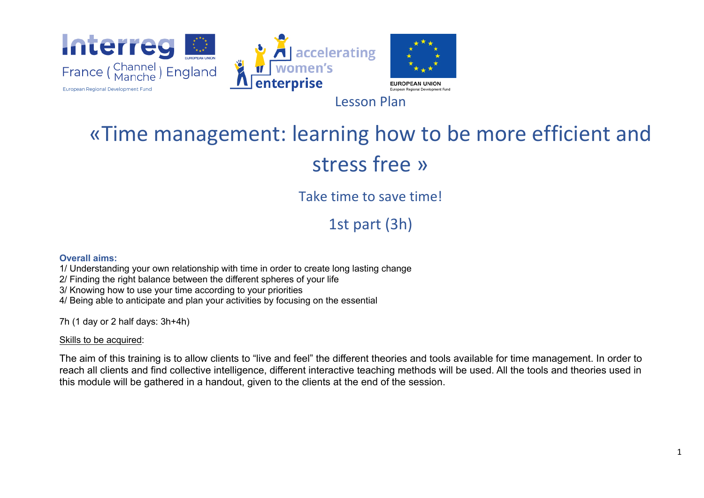

# «Time management: learning how to be more efficient and stress free »

Take time to save time!

1st part (3h)

#### **Overall aims:**

1/ Understanding your own relationship with time in order to create long lasting change

2/ Finding the right balance between the different spheres of your life

3/ Knowing how to use your time according to your priorities

4/ Being able to anticipate and plan your activities by focusing on the essential

7h (1 day or 2 half days: 3h+4h)

#### Skills to be acquired:

The aim of this training is to allow clients to "live and feel" the different theories and tools available for time management. In order to reach all clients and find collective intelligence, different interactive teaching methods will be used. All the tools and theories used in this module will be gathered in a handout, given to the clients at the end of the session.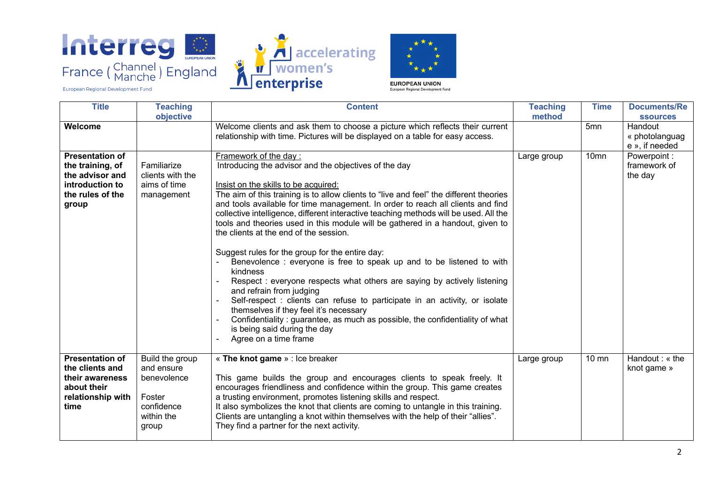

**Example 12** accelerating



European Regional Development Fund

| <b>Title</b>              | <b>Teaching</b>      | <b>Content</b>                                                                                                                                                            | <b>Teaching</b> | <b>Time</b>      | <b>Documents/Re</b> |
|---------------------------|----------------------|---------------------------------------------------------------------------------------------------------------------------------------------------------------------------|-----------------|------------------|---------------------|
|                           | objective            |                                                                                                                                                                           | method          |                  | <b>ssources</b>     |
| Welcome                   |                      | Welcome clients and ask them to choose a picture which reflects their current                                                                                             |                 | 5 <sub>mn</sub>  | Handout             |
|                           |                      | relationship with time. Pictures will be displayed on a table for easy access.                                                                                            |                 |                  | « photolanguag      |
|                           |                      |                                                                                                                                                                           |                 |                  | e », if needed      |
| <b>Presentation of</b>    |                      | Framework of the day:                                                                                                                                                     | Large group     | 10 <sub>mn</sub> | Powerpoint:         |
| the training, of          | Familiarize          | Introducing the advisor and the objectives of the day                                                                                                                     |                 |                  | framework of        |
| the advisor and           | clients with the     |                                                                                                                                                                           |                 |                  | the day             |
| introduction to           | aims of time         | Insist on the skills to be acquired:                                                                                                                                      |                 |                  |                     |
| the rules of the          | management           | The aim of this training is to allow clients to "live and feel" the different theories<br>and tools available for time management. In order to reach all clients and find |                 |                  |                     |
| group                     |                      | collective intelligence, different interactive teaching methods will be used. All the                                                                                     |                 |                  |                     |
|                           |                      | tools and theories used in this module will be gathered in a handout, given to                                                                                            |                 |                  |                     |
|                           |                      | the clients at the end of the session.                                                                                                                                    |                 |                  |                     |
|                           |                      |                                                                                                                                                                           |                 |                  |                     |
|                           |                      | Suggest rules for the group for the entire day:                                                                                                                           |                 |                  |                     |
|                           |                      | Benevolence: everyone is free to speak up and to be listened to with                                                                                                      |                 |                  |                     |
|                           |                      | kindness                                                                                                                                                                  |                 |                  |                     |
|                           |                      | Respect: everyone respects what others are saying by actively listening                                                                                                   |                 |                  |                     |
|                           |                      | and refrain from judging                                                                                                                                                  |                 |                  |                     |
|                           |                      | Self-respect : clients can refuse to participate in an activity, or isolate                                                                                               |                 |                  |                     |
|                           |                      | themselves if they feel it's necessary                                                                                                                                    |                 |                  |                     |
|                           |                      | Confidentiality: guarantee, as much as possible, the confidentiality of what                                                                                              |                 |                  |                     |
|                           |                      | is being said during the day                                                                                                                                              |                 |                  |                     |
|                           |                      | Agree on a time frame                                                                                                                                                     |                 |                  |                     |
|                           |                      |                                                                                                                                                                           |                 |                  |                     |
| <b>Presentation of</b>    | Build the group      | « The knot game » : Ice breaker                                                                                                                                           | Large group     | $10 \text{ mm}$  | Handout: « the      |
| the clients and           | and ensure           |                                                                                                                                                                           |                 |                  | knot game »         |
| their awareness           | benevolence          | This game builds the group and encourages clients to speak freely. It                                                                                                     |                 |                  |                     |
| about their               |                      | encourages friendliness and confidence within the group. This game creates                                                                                                |                 |                  |                     |
| relationship with<br>time | Foster<br>confidence | a trusting environment, promotes listening skills and respect.<br>It also symbolizes the knot that clients are coming to untangle in this training.                       |                 |                  |                     |
|                           | within the           | Clients are untangling a knot within themselves with the help of their "allies".                                                                                          |                 |                  |                     |
|                           | group                | They find a partner for the next activity.                                                                                                                                |                 |                  |                     |
|                           |                      |                                                                                                                                                                           |                 |                  |                     |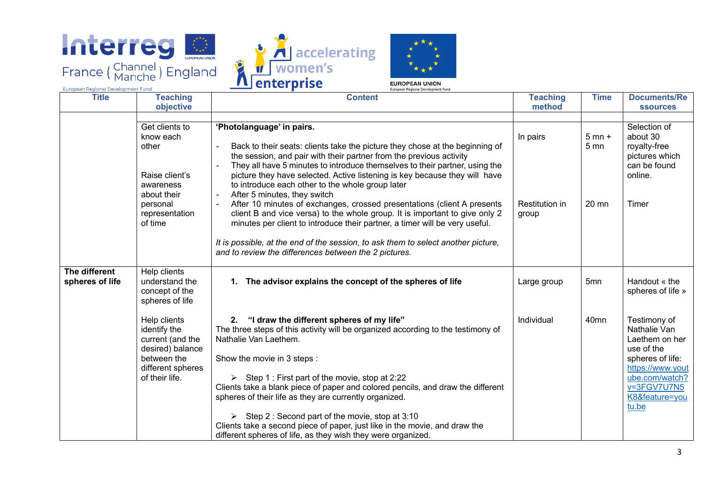





European Regional Development Fund

European Regional Development Fund

| <b>Title</b>                     | <b>Teaching</b>                                                                                                             | <b>Content</b>                                                                                                                                                                                                                                                                                                                                                                                                                                                                                                                                                                                                                                                                                                                                                                                                           | <b>Teaching</b>                            | <b>Time</b>                            | <b>Documents/Re</b>                                                                                                                                              |
|----------------------------------|-----------------------------------------------------------------------------------------------------------------------------|--------------------------------------------------------------------------------------------------------------------------------------------------------------------------------------------------------------------------------------------------------------------------------------------------------------------------------------------------------------------------------------------------------------------------------------------------------------------------------------------------------------------------------------------------------------------------------------------------------------------------------------------------------------------------------------------------------------------------------------------------------------------------------------------------------------------------|--------------------------------------------|----------------------------------------|------------------------------------------------------------------------------------------------------------------------------------------------------------------|
|                                  | objective                                                                                                                   |                                                                                                                                                                                                                                                                                                                                                                                                                                                                                                                                                                                                                                                                                                                                                                                                                          | method                                     |                                        | <b>ssources</b>                                                                                                                                                  |
|                                  | Get clients to<br>know each<br>other<br>Raise client's<br>awareness<br>about their<br>personal<br>representation<br>of time | 'Photolanguage' in pairs.<br>Back to their seats: clients take the picture they chose at the beginning of<br>the session, and pair with their partner from the previous activity<br>They all have 5 minutes to introduce themselves to their partner, using the<br>picture they have selected. Active listening is key because they will have<br>to introduce each other to the whole group later<br>After 5 minutes, they switch<br>After 10 minutes of exchanges, crossed presentations (client A presents<br>client B and vice versa) to the whole group. It is important to give only 2<br>minutes per client to introduce their partner, a timer will be very useful.<br>It is possible, at the end of the session, to ask them to select another picture,<br>and to review the differences between the 2 pictures. | In pairs<br><b>Restitution in</b><br>group | $5$ mn $+$<br>5 <sub>mn</sub><br>20 mn | Selection of<br>about 30<br>royalty-free<br>pictures which<br>can be found<br>online.<br>Timer                                                                   |
| The different<br>spheres of life | Help clients<br>understand the<br>concept of the<br>spheres of life                                                         | 1. The advisor explains the concept of the spheres of life                                                                                                                                                                                                                                                                                                                                                                                                                                                                                                                                                                                                                                                                                                                                                               | Large group                                | 5 <sub>mn</sub>                        | Handout « the<br>spheres of life »                                                                                                                               |
|                                  | Help clients<br>identify the<br>current (and the<br>desired) balance<br>between the<br>different spheres<br>of their life.  | "I draw the different spheres of my life"<br>2.<br>The three steps of this activity will be organized according to the testimony of<br>Nathalie Van Laethem.<br>Show the movie in 3 steps :<br>Step 1 : First part of the movie, stop at 2:22<br>Clients take a blank piece of paper and colored pencils, and draw the different<br>spheres of their life as they are currently organized.<br>Step 2 : Second part of the movie, stop at 3:10<br>Clients take a second piece of paper, just like in the movie, and draw the<br>different spheres of life, as they wish they were organized.                                                                                                                                                                                                                              | Individual                                 | 40 <sub>mn</sub>                       | Testimony of<br>Nathalie Van<br>Laethem on her<br>use of the<br>spheres of life:<br>https://www.yout<br>ube.com/watch?<br>v=3FGV7U7N5<br>K8&feature=you<br>tu.be |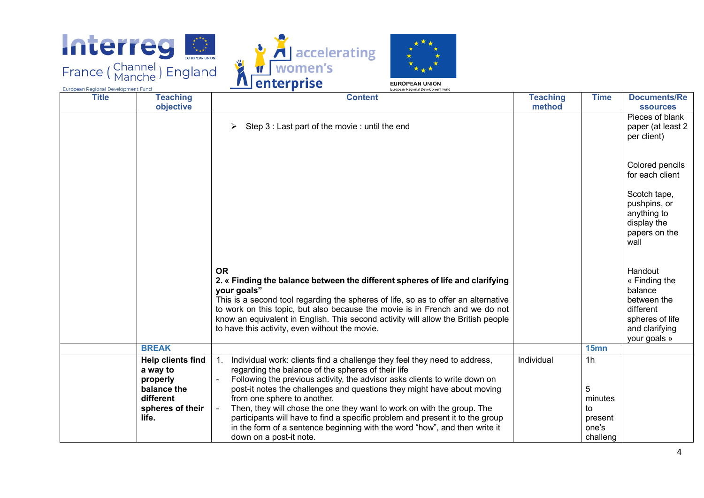





European Regional Development Fund European Regional Development Fung **Title Teaching Content Teaching Time Documents/Re objective method ssources** Pieces of blank  $\triangleright$  Step 3 : Last part of the movie : until the end paper (at least 2 per client) Colored pencils for each client Scotch tape, pushpins, or anything to display the papers on the wall **OR Handout 2. « Finding the balance between the different spheres of life and clarifying**  « Finding the **your goals"** balance This is a second tool regarding the spheres of life, so as to offer an alternative between the to work on this topic, but also because the movie is in French and we do not different know an equivalent in English. This second activity will allow the British people spheres of life and clarifying to have this activity, even without the movie. your goals » **BREAK 15mn Help clients find** 1. Individual work: clients find a challenge they feel they need to address, Individual 1h regarding the balance of the spheres of their life **a way to properly**  - Following the previous activity, the advisor asks clients to write down on **balance the**  post-it notes the challenges and questions they might have about moving 5 **different**  from one sphere to another. minutes Then, they will chose the one they want to work on with the group. The **spheres of their**  to participants will have to find a specific problem and present it to the group **life.** present

in the form of a sentence beginning with the word "how", and then write it

down on a post-it note.

one's challeng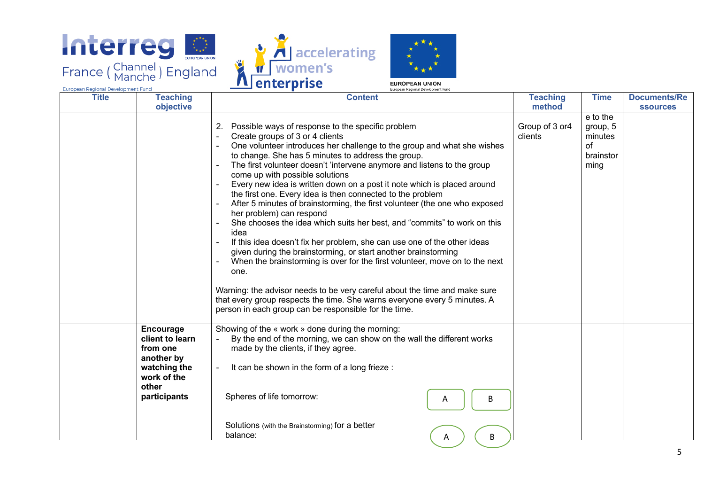





**EUROPEAN UNION** 

| <b>Title</b> | <b>Teaching</b>                                                                                                       | <b>Content</b>                                                                                                                                                                                                                                                                                                                                                                                                                                                                                                                                                                                                                                                                                                                                                                                                                                                                                                                                                                                                                                                                                                                            | <b>Teaching</b>           | <b>Time</b>                                                | <b>Documents/Re</b> |
|--------------|-----------------------------------------------------------------------------------------------------------------------|-------------------------------------------------------------------------------------------------------------------------------------------------------------------------------------------------------------------------------------------------------------------------------------------------------------------------------------------------------------------------------------------------------------------------------------------------------------------------------------------------------------------------------------------------------------------------------------------------------------------------------------------------------------------------------------------------------------------------------------------------------------------------------------------------------------------------------------------------------------------------------------------------------------------------------------------------------------------------------------------------------------------------------------------------------------------------------------------------------------------------------------------|---------------------------|------------------------------------------------------------|---------------------|
|              | objective                                                                                                             |                                                                                                                                                                                                                                                                                                                                                                                                                                                                                                                                                                                                                                                                                                                                                                                                                                                                                                                                                                                                                                                                                                                                           | method                    |                                                            | <b>ssources</b>     |
|              |                                                                                                                       | Possible ways of response to the specific problem<br>2.<br>Create groups of 3 or 4 clients<br>One volunteer introduces her challenge to the group and what she wishes<br>to change. She has 5 minutes to address the group.<br>The first volunteer doesn't 'intervene anymore and listens to the group<br>come up with possible solutions<br>Every new idea is written down on a post it note which is placed around<br>the first one. Every idea is then connected to the problem<br>After 5 minutes of brainstorming, the first volunteer (the one who exposed<br>her problem) can respond<br>She chooses the idea which suits her best, and "commits" to work on this<br>idea<br>If this idea doesn't fix her problem, she can use one of the other ideas<br>given during the brainstorming, or start another brainstorming<br>When the brainstorming is over for the first volunteer, move on to the next<br>one.<br>Warning: the advisor needs to be very careful about the time and make sure<br>that every group respects the time. She warns everyone every 5 minutes. A<br>person in each group can be responsible for the time. | Group of 3 or4<br>clients | e to the<br>group, 5<br>minutes<br>of<br>brainstor<br>ming |                     |
|              | <b>Encourage</b><br>client to learn<br>from one<br>another by<br>watching the<br>work of the<br>other<br>participants | Showing of the « work » done during the morning:<br>By the end of the morning, we can show on the wall the different works<br>made by the clients, if they agree.<br>It can be shown in the form of a long frieze :<br>$\overline{\phantom{a}}$<br>Spheres of life tomorrow:<br>B<br>A<br>Solutions (with the Brainstorming) for a better<br>balance:<br>B<br>A                                                                                                                                                                                                                                                                                                                                                                                                                                                                                                                                                                                                                                                                                                                                                                           |                           |                                                            |                     |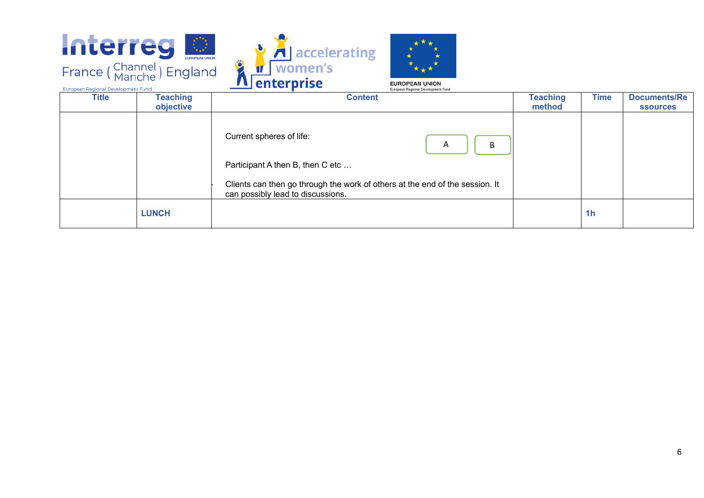





European Regional Development Fund **Title Teaching Time Documents/Re objective method ssources** Current spheres of life:  $A$   $||B$ Participant A then B, then C etc ... Clients can then go through the work of others at the end of the session. It can possibly lead to discussions. **LUNCH 1h**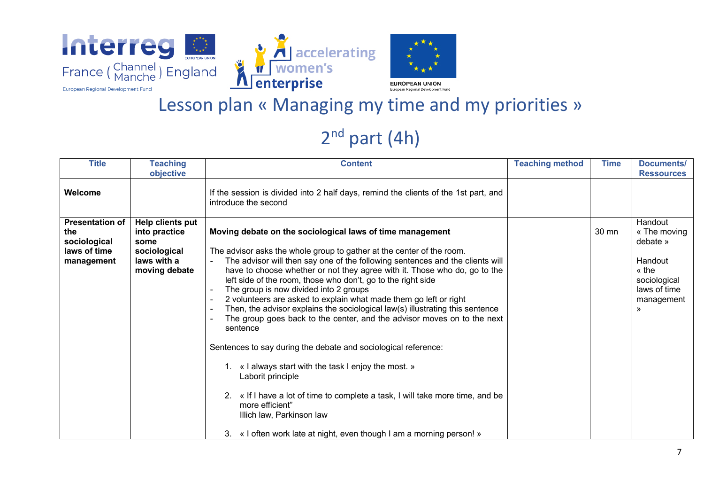





### Lesson plan « Managing my time and my priorities »

## 2<sup>nd</sup> part (4h)

| <b>Title</b>                                                                | <b>Teaching</b><br>objective                                                              | <b>Content</b>                                                                                                                                                                                                                                                                                                                                                                                                                                                                                                                                                                                                                                                                                                                                                                                                                                                                                                                                                                                                           | <b>Teaching method</b> | <b>Time</b>     | Documents/<br><b>Ressources</b>                                                                            |
|-----------------------------------------------------------------------------|-------------------------------------------------------------------------------------------|--------------------------------------------------------------------------------------------------------------------------------------------------------------------------------------------------------------------------------------------------------------------------------------------------------------------------------------------------------------------------------------------------------------------------------------------------------------------------------------------------------------------------------------------------------------------------------------------------------------------------------------------------------------------------------------------------------------------------------------------------------------------------------------------------------------------------------------------------------------------------------------------------------------------------------------------------------------------------------------------------------------------------|------------------------|-----------------|------------------------------------------------------------------------------------------------------------|
| Welcome                                                                     |                                                                                           | If the session is divided into 2 half days, remind the clients of the 1st part, and<br>introduce the second                                                                                                                                                                                                                                                                                                                                                                                                                                                                                                                                                                                                                                                                                                                                                                                                                                                                                                              |                        |                 |                                                                                                            |
| <b>Presentation of</b><br>the<br>sociological<br>laws of time<br>management | Help clients put<br>into practice<br>some<br>sociological<br>laws with a<br>moving debate | Moving debate on the sociological laws of time management<br>The advisor asks the whole group to gather at the center of the room.<br>The advisor will then say one of the following sentences and the clients will<br>have to choose whether or not they agree with it. Those who do, go to the<br>left side of the room, those who don't, go to the right side<br>The group is now divided into 2 groups<br>2 volunteers are asked to explain what made them go left or right<br>Then, the advisor explains the sociological law(s) illustrating this sentence<br>The group goes back to the center, and the advisor moves on to the next<br>sentence<br>Sentences to say during the debate and sociological reference:<br>1. « I always start with the task I enjoy the most. »<br>Laborit principle<br>« If I have a lot of time to complete a task, I will take more time, and be<br>2.<br>more efficient"<br>Illich law, Parkinson law<br>« I often work late at night, even though I am a morning person! »<br>3. |                        | $30 \text{ mm}$ | Handout<br>« The moving<br>debate »<br>Handout<br>« the<br>sociological<br>laws of time<br>management<br>» |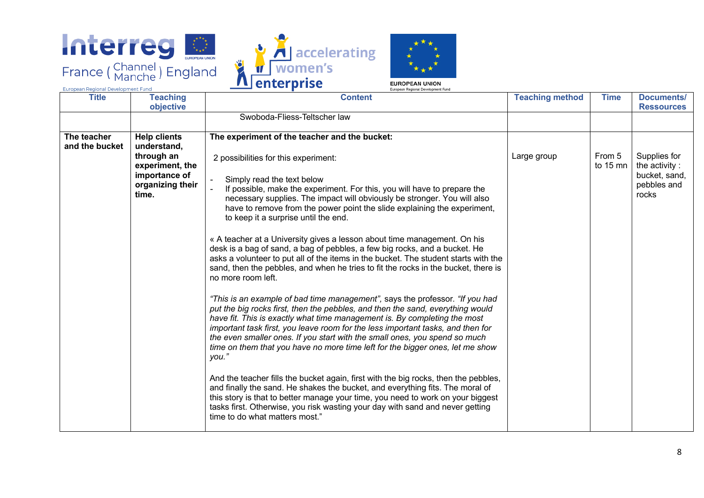





| <b>Title</b><br><b>Teaching</b><br>objective                                                                                                                                                                                                                                                                                                     | <b>Teaching method</b><br><b>Content</b>                                                                                                                                                                                                                                                                                                                                                                                                                                                                                                                                                                                                                                                                                                                                                                                                                                                                                                                                                                                                                                                                                                                                                                                                                                                                                                                                                                                                      | <b>Documents/</b><br><b>Time</b><br><b>Ressources</b>                              |  |
|--------------------------------------------------------------------------------------------------------------------------------------------------------------------------------------------------------------------------------------------------------------------------------------------------------------------------------------------------|-----------------------------------------------------------------------------------------------------------------------------------------------------------------------------------------------------------------------------------------------------------------------------------------------------------------------------------------------------------------------------------------------------------------------------------------------------------------------------------------------------------------------------------------------------------------------------------------------------------------------------------------------------------------------------------------------------------------------------------------------------------------------------------------------------------------------------------------------------------------------------------------------------------------------------------------------------------------------------------------------------------------------------------------------------------------------------------------------------------------------------------------------------------------------------------------------------------------------------------------------------------------------------------------------------------------------------------------------------------------------------------------------------------------------------------------------|------------------------------------------------------------------------------------|--|
| Swoboda-Fliess-Teltscher law                                                                                                                                                                                                                                                                                                                     |                                                                                                                                                                                                                                                                                                                                                                                                                                                                                                                                                                                                                                                                                                                                                                                                                                                                                                                                                                                                                                                                                                                                                                                                                                                                                                                                                                                                                                               |                                                                                    |  |
| The teacher<br><b>Help clients</b><br>The experiment of the teacher and the bucket:<br>and the bucket<br>understand,<br>through an<br>2 possibilities for this experiment:<br>experiment, the<br>importance of<br>Simply read the text below<br>organizing their<br>time.<br>to keep it a surprise until the end.<br>no more room left.<br>you." | From 5<br>Large group<br>If possible, make the experiment. For this, you will have to prepare the<br>necessary supplies. The impact will obviously be stronger. You will also<br>have to remove from the power point the slide explaining the experiment,<br>« A teacher at a University gives a lesson about time management. On his<br>desk is a bag of sand, a bag of pebbles, a few big rocks, and a bucket. He<br>asks a volunteer to put all of the items in the bucket. The student starts with the<br>sand, then the pebbles, and when he tries to fit the rocks in the bucket, there is<br>"This is an example of bad time management", says the professor. "If you had<br>put the big rocks first, then the pebbles, and then the sand, everything would<br>have fit. This is exactly what time management is. By completing the most<br>important task first, you leave room for the less important tasks, and then for<br>the even smaller ones. If you start with the small ones, you spend so much<br>time on them that you have no more time left for the bigger ones, let me show<br>And the teacher fills the bucket again, first with the big rocks, then the pebbles,<br>and finally the sand. He shakes the bucket, and everything fits. The moral of<br>this story is that to better manage your time, you need to work on your biggest<br>tasks first. Otherwise, you risk wasting your day with sand and never getting | Supplies for<br>to 15 mn<br>the activity:<br>bucket, sand,<br>pebbles and<br>rocks |  |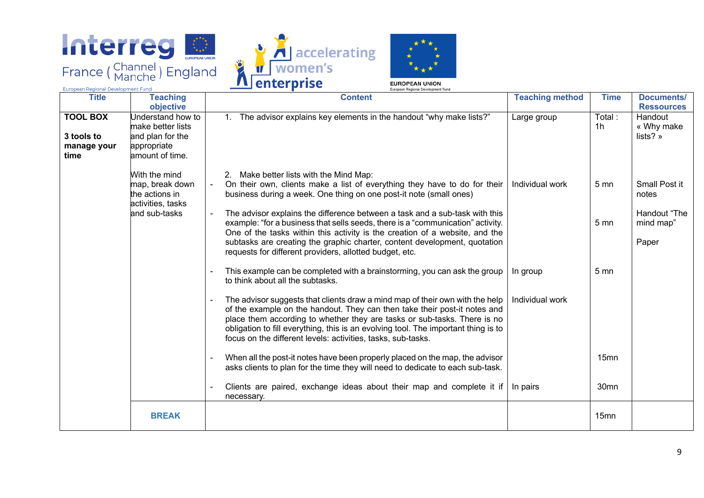





European Regional Development Fund

| <b>Title</b>                                         | <b>Teaching</b><br>objective                                                                 | <b>Content</b>                                                                                                                                                                                                                                                                                                                                                                                                                                                                                                                                                                                                          | <b>Teaching method</b>      | <b>Time</b>                        | Documents/<br><b>Ressources</b>                              |
|------------------------------------------------------|----------------------------------------------------------------------------------------------|-------------------------------------------------------------------------------------------------------------------------------------------------------------------------------------------------------------------------------------------------------------------------------------------------------------------------------------------------------------------------------------------------------------------------------------------------------------------------------------------------------------------------------------------------------------------------------------------------------------------------|-----------------------------|------------------------------------|--------------------------------------------------------------|
| <b>TOOL BOX</b><br>3 tools to<br>manage your<br>time | Understand how to<br>make better lists<br>and plan for the<br>appropriate<br>amount of time. | 1. The advisor explains key elements in the handout "why make lists?"                                                                                                                                                                                                                                                                                                                                                                                                                                                                                                                                                   | Large group                 | Total:<br>1 <sub>h</sub>           | Handout<br>« Why make<br>lists?»                             |
|                                                      | With the mind<br>map, break down<br>the actions in<br>activities, tasks<br>and sub-tasks     | 2. Make better lists with the Mind Map:<br>On their own, clients make a list of everything they have to do for their<br>$\blacksquare$<br>business during a week. One thing on one post-it note (small ones)<br>The advisor explains the difference between a task and a sub-task with this<br>$\blacksquare$<br>example: "for a business that sells seeds, there is a "communication" activity.<br>One of the tasks within this activity is the creation of a website, and the<br>subtasks are creating the graphic charter, content development, quotation<br>requests for different providers, allotted budget, etc. | Individual work             | 5 <sub>mn</sub><br>5 <sub>mn</sub> | Small Post it<br>notes<br>Handout "The<br>mind map"<br>Paper |
|                                                      |                                                                                              | This example can be completed with a brainstorming, you can ask the group<br>to think about all the subtasks.<br>The advisor suggests that clients draw a mind map of their own with the help<br>of the example on the handout. They can then take their post-it notes and<br>place them according to whether they are tasks or sub-tasks. There is no<br>obligation to fill everything, this is an evolving tool. The important thing is to<br>focus on the different levels: activities, tasks, sub-tasks.                                                                                                            | In group<br>Individual work | 5 <sub>mn</sub><br>15mn            |                                                              |
|                                                      |                                                                                              | When all the post-it notes have been properly placed on the map, the advisor<br>asks clients to plan for the time they will need to dedicate to each sub-task.<br>Clients are paired, exchange ideas about their map and complete it if<br>necessary.                                                                                                                                                                                                                                                                                                                                                                   | In pairs                    | 30mn                               |                                                              |
|                                                      | <b>BREAK</b>                                                                                 |                                                                                                                                                                                                                                                                                                                                                                                                                                                                                                                                                                                                                         |                             | 15mn                               |                                                              |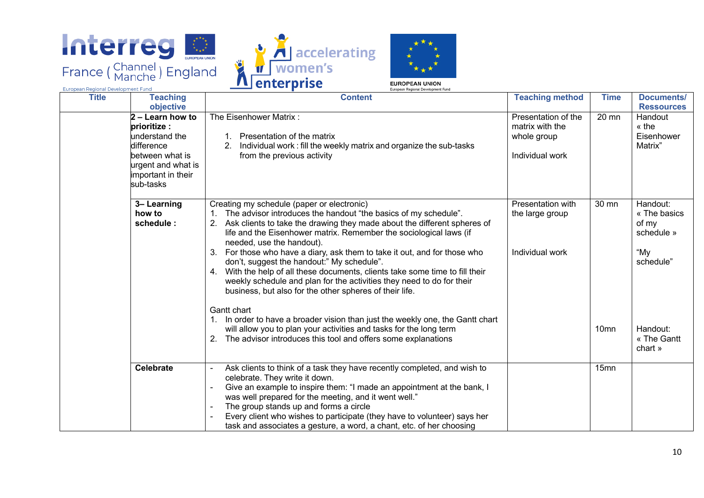

European Regional Development Fund





European Regional Development Fung **Content Teaching method Time Documents/ Title Teaching objective Ressources 2 – Learn how to** The Eisenhower Matrix : Presentation of the 20 mn Handout **prioritize :**  matrix with the « the Eisenhower understand the 1. Presentation of the matrix whole group 2. Individual work : fill the weekly matrix and organize the sub-tasks difference Matrix" between what is from the previous activity Individual work urgent and what is important in their sub-tasks Creating my schedule (paper or electronic) Presentation with **3– Learning**  30 mn Handout: **how to**  1. The advisor introduces the handout "the basics of my schedule". the large group « The basics **schedule :**  2. Ask clients to take the drawing they made about the different spheres of of my life and the Eisenhower matrix. Remember the sociological laws (if schedule » needed, use the handout). 3. For those who have a diary, ask them to take it out, and for those who "My Individual work don't, suggest the handout:" My schedule". schedule" 4. With the help of all these documents, clients take some time to fill their weekly schedule and plan for the activities they need to do for their business, but also for the other spheres of their life. Gantt chart 1. In order to have a broader vision than just the weekly one, the Gantt chart will allow you to plan your activities and tasks for the long term 10mn Handout: 2. The advisor introduces this tool and offers some explanations « The Gantt chart » **Celebrate**  $\vert$  - Ask clients to think of a task they have recently completed, and wish to 15mncelebrate. They write it down. - Give an example to inspire them: "I made an appointment at the bank, I was well prepared for the meeting, and it went well." The group stands up and forms a circle

> Every client who wishes to participate (they have to volunteer) says her task and associates a gesture, a word, a chant, etc. of her choosing